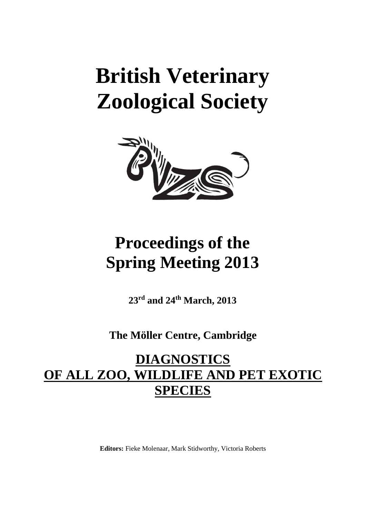# **British Veterinary Zoological Society**



## **Proceedings of the Spring Meeting 2013**

**23rd and 24th March, 2013**

**The Möller Centre, Cambridge**

## **DIAGNOSTICS OF ALL ZOO, WILDLIFE AND PET EXOTIC SPECIES**

**Editors:** Fieke Molenaar, Mark Stidworthy, Victoria Roberts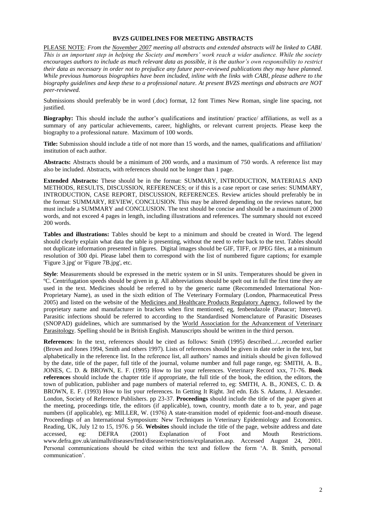#### **BVZS GUIDELINES FOR MEETING ABSTRACTS**

PLEASE NOTE: *From the November 2007 meeting all abstracts and extended abstracts will be linked to CABI. This is an important step in helping the Society and members' work reach a wider audience. While the society encourages authors to include as much relevant data as possible, it is the author's own responsibility to restrict their data as necessary in order not to prejudice any future peer-reviewed publications they may have planned. While previous humorous biographies have been included, inline with the links with CABI, please adhere to the biography guidelines and keep these to a professional nature. At present BVZS meetings and abstracts are NOT peer-reviewed.*

Submissions should preferably be in word (.doc) format, 12 font Times New Roman, single line spacing, not justified.

**Biography:** This should include the author's qualifications and institution/ practice/ affiliations, as well as a summary of any particular achievements, career, highlights, or relevant current projects. Please keep the biography to a professional nature. Maximum of 100 words.

**Title:** Submission should include a title of not more than 15 words, and the names, qualifications and affiliation/ institution of each author.

**Abstracts:** Abstracts should be a minimum of 200 words, and a maximum of 750 words. A reference list may also be included. Abstracts, with references should not be longer than 1 page.

**Extended Abstracts:** These should be in the format: SUMMARY, INTRODUCTION, MATERIALS AND METHODS, RESULTS, DISCUSSION, REFERENCES; or if this is a case report or case series: SUMMARY, INTRODUCTION, CASE REPORT, DISCUSSION, REFERENCES. Review articles should preferably be in the format: SUMMARY, REVIEW, CONCLUSION. This may be altered depending on the reviews nature, but must include a SUMMARY and CONCLUSION. The text should be concise and should be a maximum of 2000 words, and not exceed 4 pages in length, including illustrations and references. The summary should not exceed 200 words.

**Tables and illustrations:** Tables should be kept to a minimum and should be created in Word. The legend should clearly explain what data the table is presenting, without the need to refer back to the text. Tables should not duplicate information presented in figures. Digital images should be GIF, TIFF, or JPEG files, at a minimum resolution of 300 dpi. Please label them to correspond with the list of numbered figure captions; for example 'Figure 3.jpg' or 'Figure 7B.jpg', etc.

**Style**: Measurements should be expressed in the metric system or in SI units. Temperatures should be given in ºC. Centrifugation speeds should be given in g. All abbreviations should be spelt out in full the first time they are used in the text. Medicines should be referred to by the generic name (Recommended International Non-Proprietary Name), as used in the sixth edition of The Veterinary Formulary (London, Pharmaceutical Press 2005) and listed on the website of the [Medicines and Healthcare Products Regulatory Agency,](http://www.mhra.gov.uk/home/idcplg?IdcService=SS_GET_PAGE&nodeId=609) followed by the proprietary name and manufacturer in brackets when first mentioned; eg, fenbendazole (Panacur; Intervet). Parasitic infections should be referred to according to the Standardised Nomenclature of Parasitic Diseases (SNOPAD) guidelines, which are summarised by the [World Association for the Advancement of Veterinary](http://www.waavp.org/Antiparasitic%20Guidelines/guidelines_7%20.html)  [Parasitology.](http://www.waavp.org/Antiparasitic%20Guidelines/guidelines_7%20.html) Spelling should be in British English. Manuscripts should be written in the third person.

**References**: In the text, references should be cited as follows: Smith (1995) described.../...recorded earlier (Brown and Jones 1994, Smith and others 1997). Lists of references should be given in date order in the text, but alphabetically in the reference list. In the reference list, all authors' names and initials should be given followed by the date, title of the paper, full title of the journal, volume number and full page range, eg: SMITH, A. B., JONES, C. D. & BROWN, E. F. (1995) How to list your references. Veterinary Record xxx, 71-76. **Book references** should include the chapter title if appropriate, the full title of the book, the edition, the editors, the town of publication, publisher and page numbers of material referred to, eg: SMITH, A. B., JONES, C. D. & BROWN, E. F. (1993) How to list your references. In Getting It Right. 3rd edn. Eds S. Adams, J. Alexander. London, Society of Reference Publishers. pp 23-37. **Proceedings** should include the title of the paper given at the meeting, proceedings title, the editors (if applicable), town, country, month date a to b, year, and page numbers (if applicable), eg: MILLER, W. (1976) A state-transition model of epidemic foot-and-mouth disease. Proceedings of an International Symposium: New Techniques in Veterinary Epidemiology and Economics. Reading, UK, July 12 to 15, 1976. p 56. **Websites** should include the title of the page, website address and date accessed, eg: DEFRA (2001) Explanation of Foot and Mouth Restrictions. www.defra.gov.uk/animalh/diseases/fmd/disease/restrictions/explanation.asp. Accessed August 24, 2001. Personal communications should be cited within the text and follow the form 'A. B. Smith, personal communication'.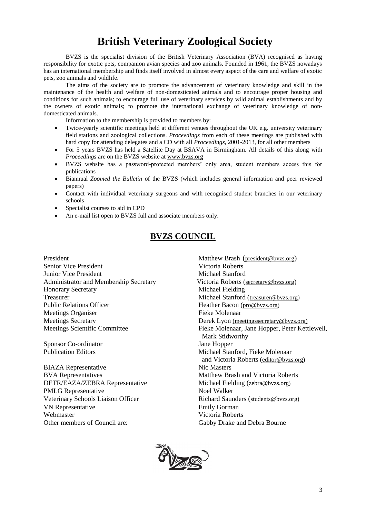### **British Veterinary Zoological Society**

BVZS is the specialist division of the British Veterinary Association (BVA) recognised as having responsibility for exotic pets, companion avian species and zoo animals. Founded in 1961, the BVZS nowadays has an international membership and finds itself involved in almost every aspect of the care and welfare of exotic pets, zoo animals and wildlife.

The aims of the society are to promote the advancement of veterinary knowledge and skill in the maintenance of the health and welfare of non-domesticated animals and to encourage proper housing and conditions for such animals; to encourage full use of veterinary services by wild animal establishments and by the owners of exotic animals; to promote the international exchange of veterinary knowledge of nondomesticated animals.

Information to the membership is provided to members by:

- Twice-yearly scientific meetings held at different venues throughout the UK e.g. university veterinary field stations and zoological collections. *Proceedings* from each of these meetings are published with hard copy for attending delegates and a CD with all *Proceedings,* 2001-2013, for all other members
- For 5 years BVZS has held a Satellite Day at BSAVA in Birmingham. All details of this along with *Proceedings* are on the BVZS website at [www.bvzs.org](http://www.bvzs.org/)
- BVZS website has a password-protected members' only area, student members access this for publications
- Biannual *Zoomed the Bulletin* of the BVZS (which includes general information and peer reviewed papers)
- Contact with individual veterinary surgeons and with recognised student branches in our veterinary schools
- Specialist courses to aid in CPD
- An e-mail list open to BVZS full and associate members only.

#### **BVZS COUNCIL**

President Matthew Brash (president @bvzs.org) Senior Vice President Victoria Roberts **Junior Vice President Michael Stanford** Administrator and Membership Secretary Victoria Roberts ([secretary@bvzs.org](mailto:secretary@bvzs.org)) Honorary Secretary Michael Fielding Treasurer Michael Stanford ([treasurer@bvzs.org\)](mailto:treasurer@bvzs.org) Public Relations Officer Heather Bacon ([pro@bvzs.org](mailto:publicity@bvzs.org)) Meetings Organiser Fieke Molenaar Meetings Secretary Derek Lyon (meetingssecretary@bvzs.org)

Sponsor Co-ordinator Jane Hopper

BIAZA Representative Nic Masters BVA Representatives and Victoria Roberts Matthew Brash and Victoria Roberts DETR/EAZA/ZEBRA Representative Michael Fielding ([zebra@bvzs.org](mailto:zebra@bvzs.org)) PMLG Representative Noel Walker Veterinary Schools Liaison Officer Richard Saunders ([students@bvzs.org\)](mailto:students@bvzs.org) VN Representative Emily Gorman Webmaster Victoria Roberts Other members of Council are: Gabby Drake and Debra Bourne

Meetings Scientific Committee Fieke Molenaar, Jane Hopper, Peter Kettlewell, Mark Stidworthy Publication Editors Michael Stanford, Fieke Molenaar and Victoria Roberts ([editor@bvzs.org\)](mailto:editor@bvzs.org)

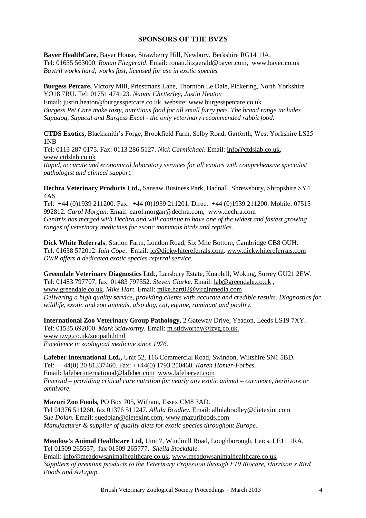#### **SPONSORS OF THE BVZS**

**Bayer HealthCare,** Bayer House, Strawberry Hill, Newbury, Berkshire RG14 1JA. Tel: 01635 563000. *Ronan Fitzgerald*. Email: [ronan.fitzgerald@bayer.com,](mailto:ronan.fitzgerald@bayer.com) [www.bayer.co.uk](http://www.bayer.co.uk/) *Baytril works hard, works fast, licensed for use in exotic species.*

**Burgess Petcare,** Victory Mill, Priestmans Lane, Thornton Le Dale, Pickering, North Yorkshire YO18 7RU. Tel: 01751 474123. *Naomi Chetterley, Justin Heaton*

Email: [justin.heaton@burgesspetcare.co.uk,](mailto:justin.heaton@burgesspetcare.co.uk) website: [www.burgesspetcare.co.uk](http://www.burgesspetcare.co.uk/) *Burgess Pet Care make tasty, nutritious food for all small furry pets. The brand range includes Supadog, Supacat and Burgess Excel - the only veterinary recommended rabbit food.*

**CTDS Exotics,** Blacksmith's Forge, Brookfield Farm, Selby Road, Garforth, West Yorkshire LS25 1NB

Tel: 0113 287 0175. Fax: 0113 286 5127. *Nick Carmichael*. Email: [info@ctdslab.co.uk,](mailto:info@ctdslab.co.uk) [www.ctdslab.co.uk](http://www.ctdslab.co.uk/)

*Rapid, accurate and economical laboratory services for all exotics with comprehensive specialist pathologist and clinical support.*

**Dechra Veterinary Products Ltd.,** Sansaw Business Park, Hadnall, Shrewsbury, Shropshire SY4 4AS

Tel: +44 (0)1939 211200. Fax: +44 (0)1939 211201. Direct +44 (0)1939 211200. Mobile: 07515 992812. *Carol Morgan.* Email: carol.morgan@dechra.com, [www.dechra.com](http://www.dechra.com/) *Genitrix has merged with Dechra and will continue to have one of the widest and fastest growing ranges of veterinary medicines for exotic mammals birds and reptiles.*

**Dick White Referrals**, Station Farm, London Road, Six Mile Bottom, Cambridge CB8 OUH. Tel: 01638 572012. *Iain Cope*. Email: [ic@dickwhitereferrals.com.](mailto:ic@dickwhitereferrals.com) www.dickwhitereferrals.com *DWR offers a dedicated exotic species referral service.*

**Greendale Veterinary Diagnostics Ltd.,** Lansbury Estate, Knaphill, Woking, Surrey GU21 2EW. Tel: 01483 797707, fax: 01483 797552. *Steven Clarke.* Email[: lab@greendale.co.uk](mailto:lab@greendale.co.uk) , [www.greendale.co.uk.](http://www.greendale.co.uk/) *Mike Hart.* Email: mike.hart02@virginmedia.com *Delivering a high quality service, providing clients with accurate and credible results. Diagnostics for wildlife, exotic and zoo animals, also dog, cat, equine, ruminant and poultry.* 

**International Zoo Veterinary Group Pathology,** 2 Gateway Drive, Yeadon, Leeds LS19 7XY. Tel: 01535 692000. *Mark Stidworthy.* Email: [m.stidworthy@izvg.co.uk.](mailto:m.stidworthy@izvg.co.uk) [www.izvg.co.uk/zoopath.html](http://www.izvg.co.uk/zoopath.html) *Excellence in zoological medicine since 1976.*

**Lafeber International Ltd.,** Unit 52, 116 Commercial Road, Swindon, Wiltshire SN1 5BD. Tel: ++44(0) 20 81337460. Fax: ++44(0) 1793 250460. *Karen Homer-Forbes.*  Email: [lafeberinternational@lafeber.com](mailto:lafeberinternational@lafeber.com) [www.lafebervet.com](http://www.lafebervet.com/) *Emeraid – providing critical care nutrition for nearly any exotic animal – carnivore, herbivore or omnivore.*

**Mazuri Zoo Foods,** PO Box 705, Witham, Essex CM8 3AD. Tel 01376 511260, fax 01376 511247. *Allula Bradley*. Email[: allulabradley@dietexint.com](mailto:allulabradley@dietexint.com) *Sue Dolan.* Email: [suedolan@dietexint.com,](mailto:_suedolan@dietexint.com) [www.mazurifoods.com](http://www.mazurifoods.com/) *Manufacturer & supplier of quality diets for exotic species throughout Europe.*

**Meadow's Animal Healthcare Ltd,** Unit 7, Windmill Road, Loughborough, Leics. LE11 1RA. Tel 01509 265557, fax 01509 265777. *Sheila Stockdale.*

Email: info@meadowsanimalhealthcare.co.uk, [www.meadowsanimalhealthcare.co.uk](http://www.meadowsanimalhealthcare.co.uk/) *Suppliers of premium products to the Veterinary Profession through F10 Biocare, Harrison's Bird Foods and AvEquip.*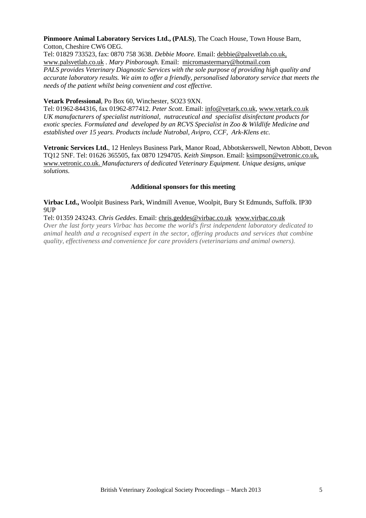#### **Pinmoore Animal Laboratory Services Ltd., (PALS)**, The Coach House, Town House Barn, Cotton, Cheshire CW6 OEG.

Tel: 01829 733523, fax: 0870 758 3638. *Debbie Moore.* Email: debbie@palsvetlab.co.uk, www.palsvetlab.co.uk . *Mary Pinborough.* Email: micromastermary@hotmail.com *PALS provides Veterinary Diagnostic Services with the sole purpose of providing high quality and accurate laboratory results. We aim to offer a friendly, personalised laboratory service that meets the needs of the patient whilst being convenient and cost effective.* 

#### **Vetark Professional**, Po Box 60, Winchester, SO23 9XN.

Tel: 01962-844316, fax 01962-877412. *Peter Scott*. Email: [info@vetark.co.uk,](mailto:pscott@vetark.co.uk) [www.vetark.co.uk](http://www.vetark.co.uk/) *UK manufacturers of specialist nutritional, nutraceutical and specialist disinfectant products for exotic species. Formulated and developed by an RCVS Specialist in Zoo & Wildlife Medicine and established over 15 years. Products include Nutrobal, Avipro, CCF, Ark-Klens etc.*

**Vetronic Services Ltd.**, 12 Henleys Business Park, Manor Road, Abbotskerswell, Newton Abbott, Devon TQ12 5NF. Tel: 01626 365505, fax 0870 1294705. *Keith Simpson*. Email: ksimpson@vetronic.co.uk, [www.vetronic.co.uk.](http://www.vetronic.co.uk/) *Manufacturers of dedicated Veterinary Equipment. Unique designs, unique solutions.*

#### **Additional sponsors for this meeting**

**Virbac Ltd.,** Woolpit Business Park, Windmill Avenue, Woolpit, Bury St Edmunds, Suffolk. IP30 9UP

Tel: 01359 243243. *Chris Geddes*. Email: [chris.geddes@virbac.co.uk](mailto:ronan.fitzgerald@bayer.com) [www.virbac.co.uk](https://owa.exmail.portlympne.net/exchweb/bin/redir.asp?URL=http://www.bayer.co.uk/)

*Over the last forty years Virbac has become the world's first independent laboratory dedicated to animal health and a recognised expert in the sector, offering products and services that combine quality, effectiveness and convenience for care providers (veterinarians and animal owners).*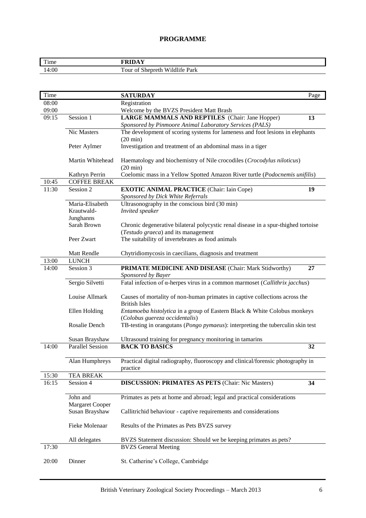#### **PROGRAMME**

| $\mathbf{m}$<br>Time |                                                  |
|----------------------|--------------------------------------------------|
| 4:00                 | m<br>`our<br>Park<br>Wildlife<br>shepreth.<br>01 |

| Time  |                          | <b>SATURDAY</b><br>Page                                                                                                   |  |
|-------|--------------------------|---------------------------------------------------------------------------------------------------------------------------|--|
| 08:00 |                          | Registration                                                                                                              |  |
| 09:00 |                          | Welcome by the BVZS President Matt Brash                                                                                  |  |
| 09:15 | Session 1                | LARGE MAMMALS AND REPTILES (Chair: Jane Hopper)<br>13                                                                     |  |
|       |                          | Sponsored by Pinmoore Animal Laboratory Services (PALS)                                                                   |  |
|       | Nic Masters              | The development of scoring systems for lameness and foot lesions in elephants                                             |  |
|       |                          | $(20 \text{ min})$                                                                                                        |  |
|       | Peter Aylmer             | Investigation and treatment of an abdominal mass in a tiger                                                               |  |
|       | Martin Whitehead         | Haematology and biochemistry of Nile crocodiles (Crocodylus niloticus)<br>$(20 \text{ min})$                              |  |
|       | Kathryn Perrin           | Coelomic mass in a Yellow Spotted Amazon River turtle (Podocnemis unifilis)                                               |  |
| 10:45 | <b>COFFEE BREAK</b>      |                                                                                                                           |  |
| 11:30 | Session 2                | <b>EXOTIC ANIMAL PRACTICE</b> (Chair: Iain Cope)<br>19                                                                    |  |
|       |                          | Sponsored by Dick White Referrals                                                                                         |  |
|       | Maria-Elisabeth          | Ultrasonography in the conscious bird (30 min)                                                                            |  |
|       | Krautwald-               | Invited speaker                                                                                                           |  |
|       | Junghanns<br>Sarah Brown |                                                                                                                           |  |
|       |                          | Chronic degenerative bilateral polycystic renal disease in a spur-thighed tortoise<br>(Testudo graeca) and its management |  |
|       | Peer Zwart               | The suitability of invertebrates as food animals                                                                          |  |
|       |                          |                                                                                                                           |  |
|       | Matt Rendle              | Chytridiomycosis in caecilians, diagnosis and treatment                                                                   |  |
| 13:00 | <b>LUNCH</b>             |                                                                                                                           |  |
| 14:00 | Session 3                | PRIMATE MEDICINE AND DISEASE (Chair: Mark Stidworthy)<br>27                                                               |  |
|       |                          | Sponsored by Bayer                                                                                                        |  |
|       | Sergio Silvetti          | Fatal infection of α-herpes virus in a common marmoset (Callithrix jacchus)                                               |  |
|       | Louise Allmark           | Causes of mortality of non-human primates in captive collections across the<br><b>British Isles</b>                       |  |
|       | Ellen Holding            | Entamoeba histolytica in a group of Eastern Black & White Colobus monkeys                                                 |  |
|       |                          | (Colobus guereza occidentalis)                                                                                            |  |
|       | Rosalie Dench            | TB-testing in orangutans (Pongo pymaeus): interpreting the tuberculin skin test                                           |  |
|       |                          |                                                                                                                           |  |
|       | Susan Brayshaw           | Ultrasound training for pregnancy monitoring in tamarins                                                                  |  |
| 14:00 | <b>Parallel Session</b>  | <b>BACK TO BASICS</b><br>32                                                                                               |  |
|       | Alan Humphreys           | Practical digital radiography, fluoroscopy and clinical/forensic photography in                                           |  |
|       |                          | practice                                                                                                                  |  |
| 15:30 | <b>TEA BREAK</b>         |                                                                                                                           |  |
| 16:15 | Session 4                | <b>DISCUSSION: PRIMATES AS PETS (Chair: Nic Masters)</b><br>34                                                            |  |
|       |                          |                                                                                                                           |  |
|       | John and                 | Primates as pets at home and abroad; legal and practical considerations                                                   |  |
|       | <b>Margaret Cooper</b>   |                                                                                                                           |  |
|       | Susan Brayshaw           | Callitrichid behaviour - captive requirements and considerations                                                          |  |
|       | Fieke Molenaar           | Results of the Primates as Pets BVZS survey                                                                               |  |
|       |                          |                                                                                                                           |  |
|       | All delegates            | BVZS Statement discussion: Should we be keeping primates as pets?                                                         |  |
| 17:30 |                          | <b>BVZS</b> General Meeting                                                                                               |  |
| 20:00 | Dinner                   | St. Catherine's College, Cambridge                                                                                        |  |
|       |                          |                                                                                                                           |  |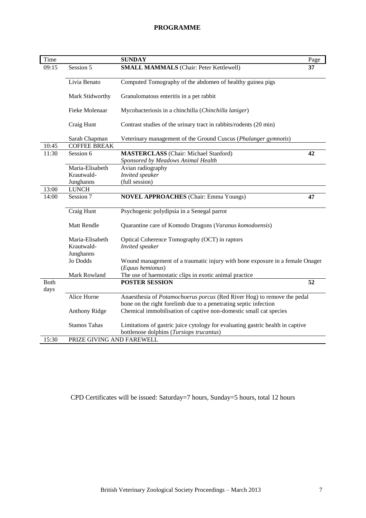#### **PROGRAMME**

| Time        |                           | <b>SUNDAY</b>                                                                                    | Page |
|-------------|---------------------------|--------------------------------------------------------------------------------------------------|------|
| 09:15       | Session 5                 | <b>SMALL MAMMALS</b> (Chair: Peter Kettlewell)                                                   | 37   |
|             |                           |                                                                                                  |      |
|             | Livia Benato              | Computed Tomography of the abdomen of healthy guinea pigs                                        |      |
|             | Mark Stidworthy           | Granulomatous enteritis in a pet rabbit                                                          |      |
|             |                           |                                                                                                  |      |
|             | Fieke Molenaar            | Mycobacteriosis in a chinchilla (Chinchilla laniger)                                             |      |
|             | Craig Hunt                | Contrast studies of the urinary tract in rabbits/rodents (20 min)                                |      |
|             | Sarah Chapman             | Veterinary management of the Ground Cuscus (Phalanger gymnotis)                                  |      |
| 10:45       | <b>COFFEE BREAK</b>       |                                                                                                  |      |
| 11:30       | Session 6                 | <b>MASTERCLASS</b> (Chair: Michael Stanford)                                                     | 42   |
|             |                           | Sponsored by Meadows Animal Health                                                               |      |
|             | Maria-Elisabeth           | Avian radiography                                                                                |      |
|             | Krautwald-                | <b>Invited</b> speaker                                                                           |      |
|             | Junghanns                 | (full session)                                                                                   |      |
| 13:00       | <b>LUNCH</b>              |                                                                                                  |      |
| 14:00       | Session 7                 | <b>NOVEL APPROACHES</b> (Chair: Emma Youngs)                                                     | 47   |
|             |                           |                                                                                                  |      |
|             | Craig Hunt                | Psychogenic polydipsia in a Senegal parrot                                                       |      |
|             | <b>Matt Rendle</b>        | Quarantine care of Komodo Dragons (Varanus komodoensis)                                          |      |
|             | Maria-Elisabeth           | Optical Coherence Tomography (OCT) in raptors                                                    |      |
|             | Krautwald-                | Invited speaker                                                                                  |      |
|             | Junghanns                 |                                                                                                  |      |
|             | Jo Dodds                  | Wound management of a traumatic injury with bone exposure in a female Onager<br>(Equus hemionus) |      |
|             | Mark Rowland              | The use of haemostatic clips in exotic animal practice                                           |      |
| <b>Both</b> |                           | <b>POSTER SESSION</b>                                                                            | 52   |
| days        |                           |                                                                                                  |      |
|             | Alice Horne               | Anaesthesia of Potamochoerus porcus (Red River Hog) to remove the pedal                          |      |
|             |                           | bone on the right forelimb due to a penetrating septic infection                                 |      |
|             | <b>Anthony Ridge</b>      | Chemical immobilisation of captive non-domestic small cat species                                |      |
|             |                           |                                                                                                  |      |
|             | <b>Stamos Tahas</b>       | Limitations of gastric juice cytology for evaluating gastric health in captive                   |      |
|             |                           | bottlenose dolphins (Tursiops trucantus)                                                         |      |
| 15:30       | PRIZE GIVING AND FAREWELL |                                                                                                  |      |

CPD Certificates will be issued: Saturday=7 hours, Sunday=5 hours, total 12 hours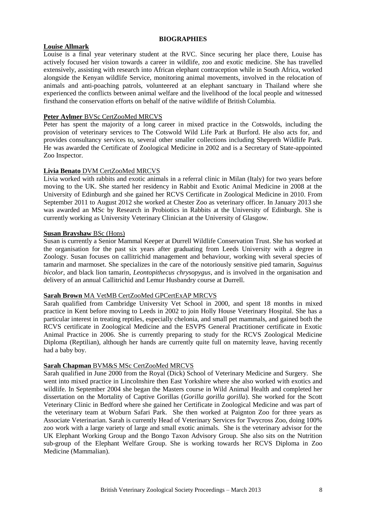#### **Louise Allmark**

Louise is a final year veterinary student at the RVC. Since securing her place there, Louise has actively focused her vision towards a career in wildlife, zoo and exotic medicine. She has travelled extensively, assisting with research into African elephant contraception while in South Africa, worked alongside the Kenyan wildlife Service, monitoring animal movements, involved in the relocation of animals and anti-poaching patrols, volunteered at an elephant sanctuary in Thailand where she experienced the conflicts between animal welfare and the livelihood of the local people and witnessed firsthand the conservation efforts on behalf of the native wildlife of British Columbia.

#### **Peter Aylmer** BVSc CertZooMed MRCVS

Peter has spent the majority of a long career in mixed practice in the Cotswolds, including the provision of veterinary services to The Cotswold Wild Life Park at Burford. He also acts for, and provides consultancy services to, several other smaller collections including Shepreth Wildlife Park. He was awarded the Certificate of Zoological Medicine in 2002 and is a Secretary of State-appointed Zoo Inspector.

#### **Livia Benato** DVM CertZooMed MRCVS

Livia worked with rabbits and exotic animals in a referral clinic in Milan (Italy) for two years before moving to the UK. She started her residency in Rabbit and Exotic Animal Medicine in 2008 at the University of Edinburgh and she gained her RCVS Certificate in Zoological Medicine in 2010. From September 2011 to August 2012 she worked at Chester Zoo as veterinary officer. In January 2013 she was awarded an MSc by Research in Probiotics in Rabbits at the University of Edinburgh. She is currently working as University Veterinary Clinician at the University of Glasgow.

#### **Susan Brayshaw** BSc (Hons)

Susan is currently a Senior Mammal Keeper at Durrell Wildlife Conservation Trust. She has worked at the organisation for the past six years after graduating from Leeds University with a degree in Zoology. Susan focuses on callitrichid management and behaviour, working with several species of tamarin and marmoset. She specializes in the care of the notoriously sensitive pied tamarin, *Saguinus bicolor*, and black lion tamarin, *Leontopithecus chrysopygus*, and is involved in the organisation and delivery of an annual Callitrichid and Lemur Husbandry course at Durrell.

#### **Sarah Brown** MA VetMB CertZooMed GPCertExAP MRCVS

Sarah qualified from Cambridge University Vet School in 2000, and spent 18 months in mixed practice in Kent before moving to Leeds in 2002 to join Holly House Veterinary Hospital. She has a particular interest in treating reptiles, especially chelonia, and small pet mammals, and gained both the RCVS certificate in Zoological Medicine and the ESVPS General Practitioner certificate in Exotic Animal Practice in 2006. She is currently preparing to study for the RCVS Zoological Medicine Diploma (Reptilian), although her hands are currently quite full on maternity leave, having recently had a baby boy.

#### **Sarah Chapman** BVM&S MSc CertZooMed MRCVS

Sarah qualified in June 2000 from the Royal (Dick) School of Veterinary Medicine and Surgery. She went into mixed practice in Lincolnshire then East Yorkshire where she also worked with exotics and wildlife. In September 2004 she began the Masters course in Wild Animal Health and completed her dissertation on the Mortality of Captive Gorillas (*Gorilla gorilla gorilla*). She worked for the Scott Veterinary Clinic in Bedford where she gained her Certificate in Zoological Medicine and was part of the veterinary team at Woburn Safari Park. She then worked at Paignton Zoo for three years as Associate Veterinarian. Sarah is currently Head of Veterinary Services for Twycross Zoo, doing 100% zoo work with a large variety of large and small exotic animals. She is the veterinary advisor for the UK Elephant Working Group and the Bongo Taxon Advisory Group. She also sits on the Nutrition sub-group of the Elephant Welfare Group. She is working towards her RCVS Diploma in Zoo Medicine (Mammalian).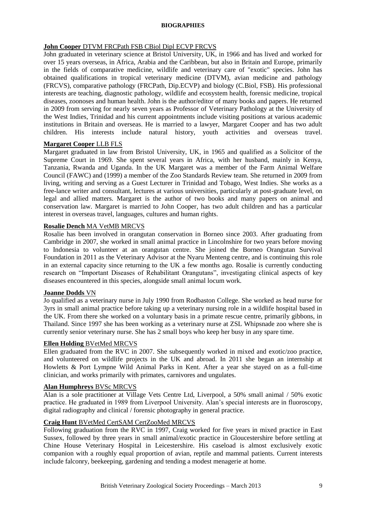#### **John Cooper** DTVM FRCPath FSB CBiol Dipl ECVP FRCVS

John graduated in veterinary science at Bristol University, UK, in 1966 and has lived and worked for over 15 years overseas, in Africa, Arabia and the Caribbean, but also in Britain and Europe, primarily in the fields of comparative medicine, wildlife and veterinary care of "exotic" species. John has obtained qualifications in tropical veterinary medicine (DTVM), avian medicine and pathology (FRCVS), comparative pathology (FRCPath, Dip.ECVP) and biology (C.Biol, FSB). His professional interests are teaching, diagnostic pathology, wildlife and ecosystem health, forensic medicine, tropical diseases, zoonoses and human health. John is the author/editor of many books and papers. He returned in 2009 from serving for nearly seven years as Professor of Veterinary Pathology at the University of the West Indies, Trinidad and his current appointments include visiting positions at various academic institutions in Britain and overseas. He is married to a lawyer, Margaret Cooper and has two adult children. His interests include natural history, youth activities and overseas travel.

#### **Margaret Cooper** LLB FLS

Margaret graduated in law from Bristol University, UK, in 1965 and qualified as a Solicitor of the Supreme Court in 1969. She spent several years in Africa, with her husband, mainly in Kenya, Tanzania, Rwanda and Uganda. In the UK Margaret was a member of the Farm Animal Welfare Council (FAWC) and (1999) a member of the Zoo Standards Review team. She returned in 2009 from living, writing and serving as a Guest Lecturer in Trinidad and Tobago, West Indies. She works as a free-lance writer and consultant, lectures at various universities, particularly at post-graduate level, on legal and allied matters. Margaret is the author of two books and many papers on animal and conservation law. Margaret is married to John Cooper, has two adult children and has a particular interest in overseas travel, languages, cultures and human rights.

#### **Rosalie Dench** MA VetMB MRCVS

Rosalie has been involved in orangutan conservation in Borneo since 2003. After graduating from Cambridge in 2007, she worked in small animal practice in Lincolnshire for two years before moving to Indonesia to volunteer at an orangutan centre. She joined the Borneo Orangutan Survival Foundation in 2011 as the Veterinary Advisor at the Nyaru Menteng centre, and is continuing this role in an external capacity since returning to the UK a few months ago. Rosalie is currently conducting research on "Important Diseases of Rehabilitant Orangutans", investigating clinical aspects of key diseases encountered in this species, alongside small animal locum work.

#### **Joanne Dodds** VN

Jo qualified as a veterinary nurse in July 1990 from Rodbaston College. She worked as head nurse for 3yrs in small animal practice before taking up a veterinary nursing role in a wildlife hospital based in the UK. From there she worked on a voluntary basis in a primate rescue centre, primarily gibbons, in Thailand. Since 1997 she has been working as a veterinary nurse at ZSL Whipsnade zoo where she is currently senior veterinary nurse. She has 2 small boys who keep her busy in any spare time.

#### **Ellen Holding** BVetMed MRCVS

Ellen graduated from the RVC in 2007. She subsequently worked in mixed and exotic/zoo practice, and volunteered on wildlife projects in the UK and abroad. In 2011 she began an internship at Howletts & Port Lympne Wild Animal Parks in Kent. After a year she stayed on as a full-time clinician, and works primarily with primates, carnivores and ungulates.

#### **Alan Humphreys** BVSc MRCVS

Alan is a sole practitioner at Village Vets Centre Ltd, Liverpool, a 50% small animal / 50% exotic practice. He graduated in 1989 from Liverpool University. Alan's special interests are in fluoroscopy, digital radiography and clinical / forensic photography in general practice.

#### **Craig Hunt** BVetMed CertSAM CertZooMed MRCVS

Following graduation from the RVC in 1997, Craig worked for five years in mixed practice in East Sussex, followed by three years in small animal/exotic practice in Gloucestershire before settling at Chine House Veterinary Hospital in Leicestershire. His caseload is almost exclusively exotic companion with a roughly equal proportion of avian, reptile and mammal patients. Current interests include falconry, beekeeping, gardening and tending a modest menagerie at home.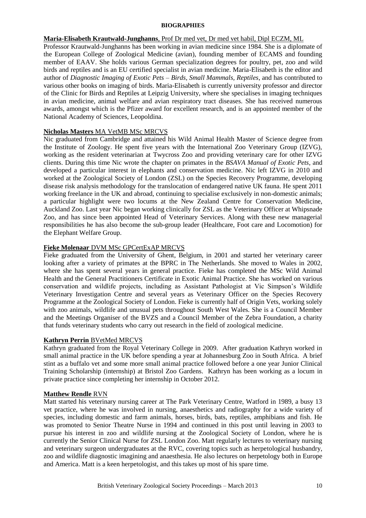#### **Maria-Elisabeth Krautwald-Junghanns**, Prof Dr med vet, Dr med vet habil, Dipl ECZM, ML

Professor Krautwald-Junghanns has been working in avian medicine since 1984. She is a diplomate of the European College of Zoological Medicine (avian), founding member of ECAMS and founding member of EAAV. She holds various German specialization degrees for poultry, pet, zoo and wild birds and reptiles and is an EU certified specialist in avian medicine. Maria-Elisabeth is the editor and author of *Diagnostic Imaging of Exotic Pets – Birds, Small Mammals, Reptiles*, and has contributed to various other books on imaging of birds. Maria-Elisabeth is currently university professor and director of the Clinic for Birds and Reptiles at Leipzig University, where she specialises in imaging techniques in avian medicine, animal welfare and avian respiratory tract diseases. She has received numerous awards, amongst which is the Pfizer award for excellent research, and is an appointed member of the National Academy of Sciences, Leopoldina.

#### **Nicholas Masters** MA VetMB MSc MRCVS

Nic graduated from Cambridge and attained his Wild Animal Health Master of Science degree from the Institute of Zoology. He spent five years with the International Zoo Veterinary Group (IZVG), working as the resident veterinarian at Twycross Zoo and providing veterinary care for other IZVG clients. During this time Nic wrote the chapter on primates in the *BSAVA Manual of Exotic Pets*, and developed a particular interest in elephants and conservation medicine. Nic left IZVG in 2010 and worked at the Zoological Society of London (ZSL) on the Species Recovery Programme, developing disease risk analysis methodology for the translocation of endangered native UK fauna. He spent 2011 working freelance in the UK and abroad, continuing to specialise exclusively in non-domestic animals; a particular highlight were two locums at the New Zealand Centre for Conservation Medicine, Auckland Zoo. Last year Nic began working clinically for ZSL as the Veterinary Officer at Whipsnade Zoo, and has since been appointed Head of Veterinary Services. Along with these new managerial responsibilities he has also become the sub-group leader (Healthcare, Foot care and Locomotion) for the Elephant Welfare Group.

#### **Fieke Molenaar** DVM MSc GPCertExAP MRCVS

Fieke graduated from the University of Ghent, Belgium, in 2001 and started her veterinary career looking after a variety of primates at the BPRC in The Netherlands. She moved to Wales in 2002, where she has spent several years in general practice. Fieke has completed the MSc Wild Animal Health and the General Practitioners Certificate in Exotic Animal Practice. She has worked on various conservation and wildlife projects, including as Assistant Pathologist at Vic Simpson's Wildlife Veterinary Investigation Centre and several years as Veterinary Officer on the Species Recovery Programme at the Zoological Society of London. Fieke is currently half of Origin Vets, working solely with zoo animals, wildlife and unusual pets throughout South West Wales. She is a Council Member and the Meetings Organiser of the BVZS and a Council Member of the Zebra Foundation, a charity that funds veterinary students who carry out research in the field of zoological medicine.

#### **Kathryn Perrin** BVetMed MRCVS

Kathryn graduated from the Royal Veterinary College in 2009. After graduation Kathryn worked in small animal practice in the UK before spending a year at Johannesburg Zoo in South Africa. A brief stint as a buffalo vet and some more small animal practice followed before a one year Junior Clinical Training Scholarship (internship) at Bristol Zoo Gardens. Kathryn has been working as a locum in private practice since completing her internship in October 2012.

#### **Matthew Rendle** RVN

Matt started his veterinary nursing career at The Park Veterinary Centre, Watford in 1989, a busy 13 vet practice, where he was involved in nursing, anaesthetics and radiography for a wide variety of species, including domestic and farm animals, horses, birds, bats, reptiles, amphibians and fish. He was promoted to Senior Theatre Nurse in 1994 and continued in this post until leaving in 2003 to pursue his interest in zoo and wildlife nursing at the Zoological Society of London, where he is currently the Senior Clinical Nurse for ZSL London Zoo. Matt regularly lectures to veterinary nursing and veterinary surgeon undergraduates at the RVC, covering topics such as herpetological husbandry, zoo and wildlife diagnostic imagining and anaesthesia. He also lectures on herpetology both in Europe and America. Matt is a keen herpetologist, and this takes up most of his spare time.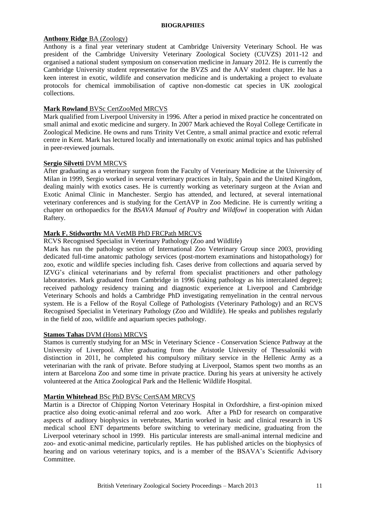#### **Anthony Ridge** BA (Zoology)

Anthony is a final year veterinary student at Cambridge University Veterinary School. He was president of the Cambridge University Veterinary Zoological Society (CUVZS) 2011-12 and organised a national student symposium on conservation medicine in January 2012. He is currently the Cambridge University student representative for the BVZS and the AAV student chapter. He has a keen interest in exotic, wildlife and conservation medicine and is undertaking a project to evaluate protocols for chemical immobilisation of captive non-domestic cat species in UK zoological collections.

#### **Mark Rowland** BVSc CertZooMed MRCVS

Mark qualified from Liverpool University in 1996. After a period in mixed practice he concentrated on small animal and exotic medicine and surgery. In 2007 Mark achieved the Royal College Certificate in Zoological Medicine. He owns and runs Trinity Vet Centre, a small animal practice and exotic referral centre in Kent. Mark has lectured locally and internationally on exotic animal topics and has published in peer-reviewed journals.

#### **Sergio Silvetti** DVM MRCVS

After graduating as a veterinary surgeon from the Faculty of Veterinary Medicine at the University of Milan in 1999, Sergio worked in several veterinary practices in Italy, Spain and the United Kingdom, dealing mainly with exotics cases. He is currently working as veterinary surgeon at the Avian and Exotic Animal Clinic in Manchester. Sergio has attended, and lectured, at several international veterinary conferences and is studying for the CertAVP in Zoo Medicine. He is currently writing a chapter on orthopaedics for the *BSAVA Manual of Poultry and Wildfowl* in cooperation with Aidan Raftery.

#### **Mark F. Stidworthy** MA VetMB PhD FRCPath MRCVS

#### RCVS Recognised Specialist in Veterinary Pathology (Zoo and Wildlife)

Mark has run the pathology section of International Zoo Veterinary Group since 2003, providing dedicated full-time anatomic pathology services (post-mortem examinations and histopathology) for zoo, exotic and wildlife species including fish. Cases derive from collections and aquaria served by IZVG's clinical veterinarians and by referral from specialist practitioners and other pathology laboratories. Mark graduated from Cambridge in 1996 (taking pathology as his intercalated degree); received pathology residency training and diagnostic experience at Liverpool and Cambridge Veterinary Schools and holds a Cambridge PhD investigating remyelination in the central nervous system. He is a Fellow of the Royal College of Pathologists (Veterinary Pathology) and an RCVS Recognised Specialist in Veterinary Pathology (Zoo and Wildlife). He speaks and publishes regularly in the field of zoo, wildlife and aquarium species pathology.

#### **Stamos Tahas** DVM (Hons) MRCVS

Stamos is currently studying for an MSc in Veterinary Science - Conservation Science Pathway at the University of Liverpool. After graduating from the Aristotle University of Thessaloniki with distinction in 2011, he completed his compulsory military service in the Hellenic Army as a veterinarian with the rank of private. Before studying at Liverpool, Stamos spent two months as an intern at Barcelona Zoo and some time in private practice. During his years at university he actively volunteered at the Attica Zoological Park and the Hellenic Wildlife Hospital.

#### **Martin Whitehead** BSc PhD BVSc CertSAM MRCVS

Martin is a Director of Chipping Norton Veterinary Hospital in Oxfordshire, a first-opinion mixed practice also doing exotic-animal referral and zoo work. After a PhD for research on comparative aspects of auditory biophysics in vertebrates, Martin worked in basic and clinical research in US medical school ENT departments before switching to veterinary medicine, graduating from the Liverpool veterinary school in 1999. His particular interests are small-animal internal medicine and zoo- and exotic-animal medicine, particularly reptiles. He has published articles on the biophysics of hearing and on various veterinary topics, and is a member of the BSAVA's Scientific Advisory Committee.